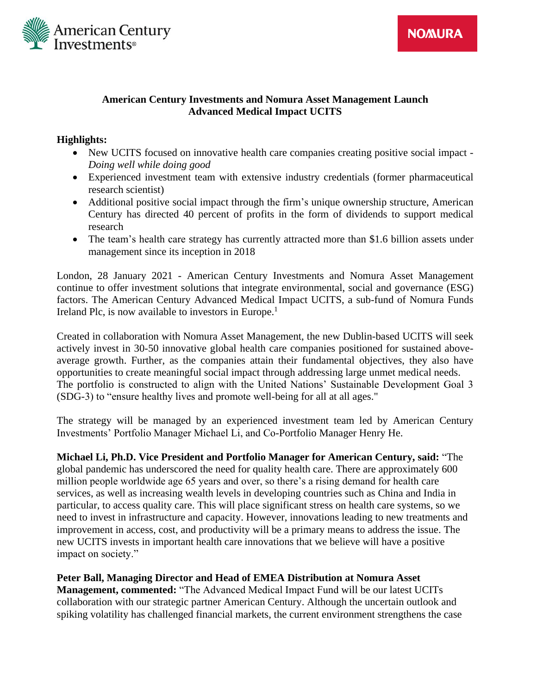

### **American Century Investments and Nomura Asset Management Launch Advanced Medical Impact UCITS**

# **Highlights:**

- New UCITS focused on innovative health care companies creating positive social impact *Doing well while doing good*
- Experienced investment team with extensive industry credentials (former pharmaceutical research scientist)
- Additional positive social impact through the firm's unique ownership structure, American Century has directed 40 percent of profits in the form of dividends to support medical research
- The team's health care strategy has currently attracted more than \$1.6 billion assets under management since its inception in 2018

London, 28 January 2021 - American Century Investments and Nomura Asset Management continue to offer investment solutions that integrate environmental, social and governance (ESG) factors. The American Century Advanced Medical Impact UCITS, a sub-fund of Nomura Funds Ireland Plc, is now available to investors in Europe.<sup>1</sup>

Created in collaboration with Nomura Asset Management, the new Dublin-based UCITS will seek actively invest in 30-50 innovative global health care companies positioned for sustained aboveaverage growth. Further, as the companies attain their fundamental objectives, they also have opportunities to create meaningful social impact through addressing large unmet medical needs. The portfolio is constructed to align with the United Nations' Sustainable Development Goal 3 (SDG-3) to "ensure healthy lives and promote well-being for all at all ages."

The strategy will be managed by an experienced investment team led by American Century Investments' Portfolio Manager Michael Li, and Co-Portfolio Manager Henry He.

**Michael Li, Ph.D. Vice President and Portfolio Manager for American Century, said:** "The global pandemic has underscored the need for quality health care. There are approximately 600 million people worldwide age 65 years and over, so there's a rising demand for health care services, as well as increasing wealth levels in developing countries such as China and India in particular, to access quality care. This will place significant stress on health care systems, so we need to invest in infrastructure and capacity. However, innovations leading to new treatments and improvement in access, cost, and productivity will be a primary means to address the issue. The new UCITS invests in important health care innovations that we believe will have a positive impact on society."

**Peter Ball, Managing Director and Head of EMEA Distribution at Nomura Asset Management, commented:** "The Advanced Medical Impact Fund will be our latest UCITs collaboration with our strategic partner American Century. Although the uncertain outlook and spiking volatility has challenged financial markets, the current environment strengthens the case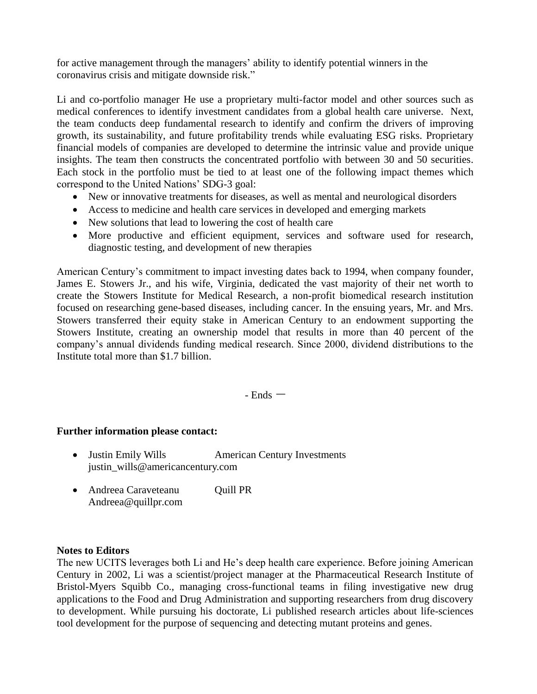for active management through the managers' ability to identify potential winners in the coronavirus crisis and mitigate downside risk."

Li and co-portfolio manager He use a proprietary multi-factor model and other sources such as medical conferences to identify investment candidates from a global health care universe. Next, the team conducts deep fundamental research to identify and confirm the drivers of improving growth, its sustainability, and future profitability trends while evaluating ESG risks. Proprietary financial models of companies are developed to determine the intrinsic value and provide unique insights. The team then constructs the concentrated portfolio with between 30 and 50 securities. Each stock in the portfolio must be tied to at least one of the following impact themes which correspond to the United Nations' SDG-3 goal:

- New or innovative treatments for diseases, as well as mental and neurological disorders
- Access to medicine and health care services in developed and emerging markets
- New solutions that lead to lowering the cost of health care
- More productive and efficient equipment, services and software used for research, diagnostic testing, and development of new therapies

American Century's commitment to impact investing dates back to 1994, when company founder, James E. Stowers Jr., and his wife, Virginia, dedicated the vast majority of their net worth to create the Stowers Institute for Medical Research, a non-profit biomedical research institution focused on researching gene-based diseases, including cancer. In the ensuing years, Mr. and Mrs. Stowers transferred their equity stake in American Century to an endowment supporting the Stowers Institute, creating an ownership model that results in more than 40 percent of the company's annual dividends funding medical research. Since 2000, dividend distributions to the Institute total more than \$1.7 billion.

 $-$  Ends  $-$ 

# **Further information please contact:**

- Justin Emily Wills **American Century Investments** justin\_wills@americancentury.com
- Andreea Caraveteanu Quill PR Andreea@quillpr.com

### **Notes to Editors**

The new UCITS leverages both Li and He's deep health care experience. Before joining American Century in 2002, Li was a scientist/project manager at the Pharmaceutical Research Institute of Bristol-Myers Squibb Co., managing cross-functional teams in filing investigative new drug applications to the Food and Drug Administration and supporting researchers from drug discovery to development. While pursuing his doctorate, Li published research articles about life-sciences tool development for the purpose of sequencing and detecting mutant proteins and genes.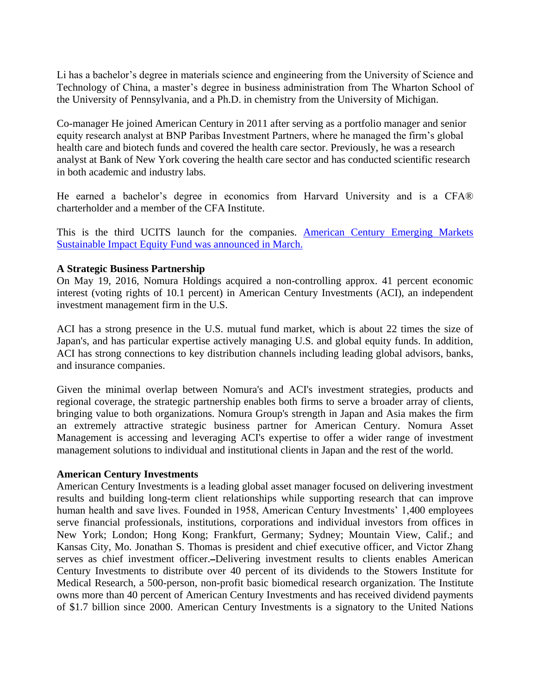Li has a bachelor's degree in materials science and engineering from the University of Science and Technology of China, a master's degree in business administration from The Wharton School of the University of Pennsylvania, and a Ph.D. in chemistry from the University of Michigan.

Co-manager He joined American Century in 2011 after serving as a portfolio manager and senior equity research analyst at BNP Paribas Investment Partners, where he managed the firm's global health care and biotech funds and covered the health care sector. Previously, he was a research analyst at Bank of New York covering the health care sector and has conducted scientific research in both academic and industry labs.

He earned a bachelor's degree in economics from Harvard University and is a CFA® charterholder and a member of the CFA Institute.

This is the third UCITS launch for the companies. [American Century Emerging Markets](https://corporate.americancentury.com/content/corporate/en/newsroom/press/press-center/emerging-markets-sustainable-impact-equity-fund-launched.html)  [Sustainable Impact Equity Fund was announced in March.](https://corporate.americancentury.com/content/corporate/en/newsroom/press/press-center/emerging-markets-sustainable-impact-equity-fund-launched.html) 

#### **A Strategic Business Partnership**

On May 19, 2016, Nomura Holdings acquired a non-controlling approx. 41 percent economic interest (voting rights of 10.1 percent) in American Century Investments (ACI), an independent investment management firm in the U.S.

ACI has a strong presence in the U.S. mutual fund market, which is about 22 times the size of Japan's, and has particular expertise actively managing U.S. and global equity funds. In addition, ACI has strong connections to key distribution channels including leading global advisors, banks, and insurance companies.

Given the minimal overlap between Nomura's and ACI's investment strategies, products and regional coverage, the strategic partnership enables both firms to serve a broader array of clients, bringing value to both organizations. Nomura Group's strength in Japan and Asia makes the firm an extremely attractive strategic business partner for American Century. Nomura Asset Management is accessing and leveraging ACI's expertise to offer a wider range of investment management solutions to individual and institutional clients in Japan and the rest of the world.

#### **American Century Investments**

American Century Investments is a leading global asset manager focused on delivering investment results and building long-term client relationships while supporting research that can improve human health and save lives. Founded in 1958, American Century Investments' 1,400 employees serve financial professionals, institutions, corporations and individual investors from offices in New York; London; Hong Kong; Frankfurt, Germany; Sydney; Mountain View, Calif.; and Kansas City, Mo. Jonathan S. Thomas is president and chief executive officer, and Victor Zhang serves as chief investment officer.-Delivering investment results to clients enables American Century Investments to distribute over 40 percent of its dividends to the Stowers Institute for Medical Research, a 500-person, non-profit basic biomedical research organization. The Institute owns more than 40 percent of American Century Investments and has received dividend payments of \$1.7 billion since 2000. American Century Investments is a signatory to the United Nations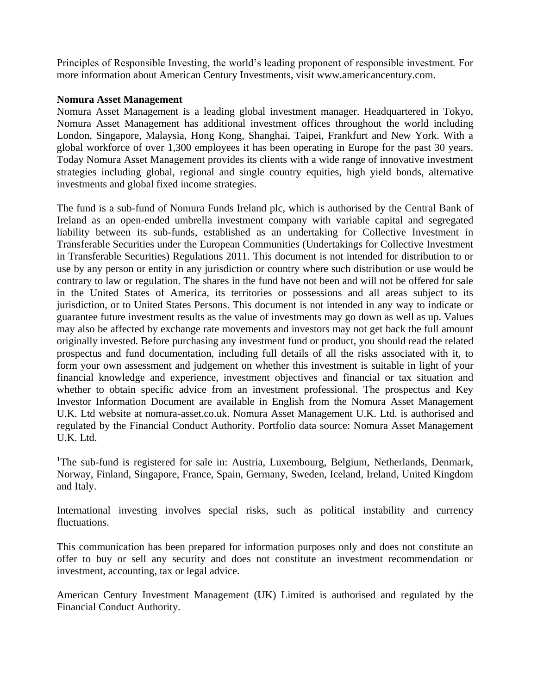Principles of Responsible Investing, the world's leading proponent of responsible investment. For more information about American Century Investments, visit www.americancentury.com.

### **Nomura Asset Management**

Nomura Asset Management is a leading global investment manager. Headquartered in Tokyo, Nomura Asset Management has additional investment offices throughout the world including London, Singapore, Malaysia, Hong Kong, Shanghai, Taipei, Frankfurt and New York. With a global workforce of over 1,300 employees it has been operating in Europe for the past 30 years. Today Nomura Asset Management provides its clients with a wide range of innovative investment strategies including global, regional and single country equities, high yield bonds, alternative investments and global fixed income strategies.

The fund is a sub-fund of Nomura Funds Ireland plc, which is authorised by the Central Bank of Ireland as an open-ended umbrella investment company with variable capital and segregated liability between its sub-funds, established as an undertaking for Collective Investment in Transferable Securities under the European Communities (Undertakings for Collective Investment in Transferable Securities) Regulations 2011. This document is not intended for distribution to or use by any person or entity in any jurisdiction or country where such distribution or use would be contrary to law or regulation. The shares in the fund have not been and will not be offered for sale in the United States of America, its territories or possessions and all areas subject to its jurisdiction, or to United States Persons. This document is not intended in any way to indicate or guarantee future investment results as the value of investments may go down as well as up. Values may also be affected by exchange rate movements and investors may not get back the full amount originally invested. Before purchasing any investment fund or product, you should read the related prospectus and fund documentation, including full details of all the risks associated with it, to form your own assessment and judgement on whether this investment is suitable in light of your financial knowledge and experience, investment objectives and financial or tax situation and whether to obtain specific advice from an investment professional. The prospectus and Key Investor Information Document are available in English from the Nomura Asset Management U.K. Ltd website at nomura-asset.co.uk. Nomura Asset Management U.K. Ltd. is authorised and regulated by the Financial Conduct Authority. Portfolio data source: Nomura Asset Management U.K. Ltd.

<sup>1</sup>The sub-fund is registered for sale in: Austria, Luxembourg, Belgium, Netherlands, Denmark, Norway, Finland, Singapore, France, Spain, Germany, Sweden, Iceland, Ireland, United Kingdom and Italy.

International investing involves special risks, such as political instability and currency fluctuations.

This communication has been prepared for information purposes only and does not constitute an offer to buy or sell any security and does not constitute an investment recommendation or investment, accounting, tax or legal advice.

American Century Investment Management (UK) Limited is authorised and regulated by the Financial Conduct Authority.